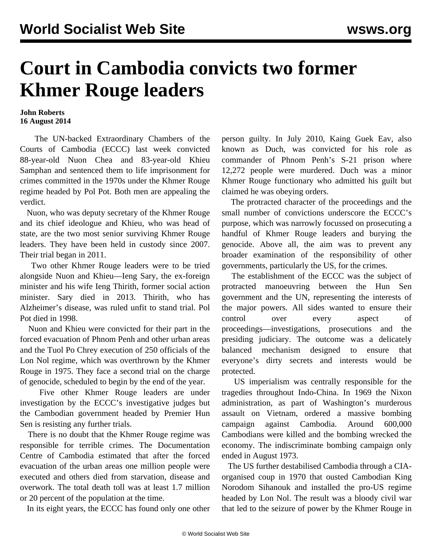## **Court in Cambodia convicts two former Khmer Rouge leaders**

## **John Roberts 16 August 2014**

 The UN-backed Extraordinary Chambers of the Courts of Cambodia (ECCC) last week convicted 88-year-old Nuon Chea and 83-year-old Khieu Samphan and sentenced them to life imprisonment for crimes committed in the 1970s under the Khmer Rouge regime headed by Pol Pot. Both men are appealing the verdict.

 Nuon, who was deputy secretary of the Khmer Rouge and its chief ideologue and Khieu, who was head of state, are the two most senior surviving Khmer Rouge leaders. They have been held in custody since 2007. Their trial began in 2011.

 Two other Khmer Rouge leaders were to be tried alongside Nuon and Khieu—Ieng Sary, the ex-foreign minister and his wife Ieng Thirith, former social action minister. Sary died in 2013. Thirith, who has Alzheimer's disease, was ruled unfit to stand trial. Pol Pot died in 1998.

 Nuon and Khieu were convicted for their part in the forced evacuation of Phnom Penh and other urban areas and the Tuol Po Chrey execution of 250 officials of the Lon Nol regime, which was overthrown by the Khmer Rouge in 1975. They face a second trial on the charge of genocide, scheduled to begin by the end of the year.

 Five other Khmer Rouge leaders are under investigation by the ECCC's investigative judges but the Cambodian government headed by Premier Hun Sen is resisting any further trials.

 There is no doubt that the Khmer Rouge regime was responsible for terrible crimes. The Documentation Centre of Cambodia estimated that after the forced evacuation of the urban areas one million people were executed and others died from starvation, disease and overwork. The total death toll was at least 1.7 million or 20 percent of the population at the time.

In its eight years, the ECCC has found only one other

person guilty. In July 2010, Kaing Guek Eav, also known as Duch, was convicted for his role as commander of Phnom Penh's S-21 prison where 12,272 people were murdered. Duch was a minor Khmer Rouge functionary who admitted his guilt but claimed he was obeying orders.

 The protracted character of the proceedings and the small number of convictions underscore the ECCC's purpose, which was narrowly focussed on prosecuting a handful of Khmer Rouge leaders and burying the genocide. Above all, the aim was to prevent any broader examination of the responsibility of other governments, particularly the US, for the crimes.

 The establishment of the ECCC was the subject of protracted manoeuvring between the Hun Sen government and the UN, representing the interests of the major powers. All sides wanted to ensure their control over every aspect of proceedings—investigations, prosecutions and the presiding judiciary. The outcome was a delicately balanced mechanism designed to ensure that everyone's dirty secrets and interests would be protected.

 US imperialism was centrally responsible for the tragedies throughout Indo-China. In 1969 the Nixon administration, as part of Washington's murderous assault on Vietnam, ordered a massive bombing campaign against Cambodia. Around 600,000 Cambodians were killed and the bombing wrecked the economy. The indiscriminate bombing campaign only ended in August 1973.

 The US further destabilised Cambodia through a CIAorganised coup in 1970 that ousted Cambodian King Norodom Sihanouk and installed the pro-US regime headed by Lon Nol. The result was a bloody civil war that led to the seizure of power by the Khmer Rouge in